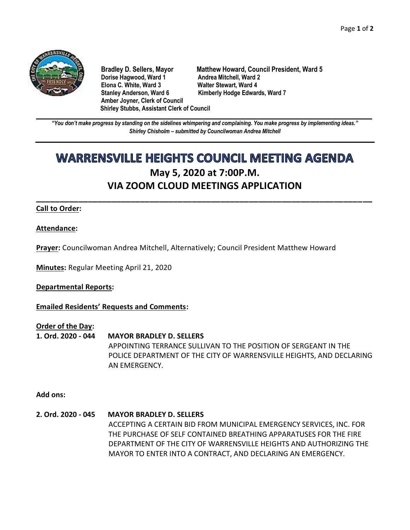

**Dorise Hagwood, Ward 1** Andrea Mitchell, Ward 2<br>
Elona C. White, Ward 3 **Malter Stewart, Ward 4 Elona C. White, Ward 3** Stanley Anderson, Ward 6 Kimberly Hodge Edwards, Ward 7 **Amber Joyner, Clerk of Council Shirley Stubbs, Assistant Clerk of Council**

**Bradley D. Sellers, Mayor Matthew Howard, Council President, Ward 5**

**\_\_\_\_\_\_\_\_\_\_\_\_\_\_\_\_\_\_\_\_\_\_\_\_\_\_\_\_\_\_\_\_\_\_\_\_\_\_\_\_\_\_\_\_\_\_\_\_\_\_\_\_\_\_\_\_\_\_\_\_\_\_\_\_\_\_\_\_\_\_\_\_\_\_\_\_\_\_\_\_\_\_\_\_\_\_\_\_\_\_\_\_\_\_\_\_\_\_\_\_\_\_\_\_\_\_\_\_\_\_** *"You don't make progress by standing on the sidelines whimpering and complaining. You make progress by implementing ideas." Shirley Chisholm – submitted by Councilwoman Andrea Mitchell*

# **WARRENSVILLE HEIGHTS COUNCIL MEETING AGENDA May 5, 2020 at 7:00P.M. VIA ZOOM CLOUD MEETINGS APPLICATION**

**\_\_\_\_\_\_\_\_\_\_\_\_\_\_\_\_\_\_\_\_\_\_\_\_\_\_\_\_\_\_\_\_\_\_\_\_\_\_\_\_\_\_\_\_\_\_\_\_\_\_\_\_\_\_\_\_\_\_\_\_\_\_\_\_\_\_\_\_\_\_\_**

# **Call to Order:**

### **Attendance:**

**Prayer:** Councilwoman Andrea Mitchell, Alternatively; Council President Matthew Howard

**Minutes:** Regular Meeting April 21, 2020

**Departmental Reports:**

**Emailed Residents' Requests and Comments:**

#### **Order of the Day:**

**1. Ord. 2020 - 044 MAYOR BRADLEY D. SELLERS** APPOINTING TERRANCE SULLIVAN TO THE POSITION OF SERGEANT IN THE POLICE DEPARTMENT OF THE CITY OF WARRENSVILLE HEIGHTS, AND DECLARING AN EMERGENCY.

**Add ons:** 

**2. Ord. 2020 - 045 MAYOR BRADLEY D. SELLERS** ACCEPTING A CERTAIN BID FROM MUNICIPAL EMERGENCY SERVICES, INC. FOR THE PURCHASE OF SELF CONTAINED BREATHING APPARATUSES FOR THE FIRE DEPARTMENT OF THE CITY OF WARRENSVILLE HEIGHTS AND AUTHORIZING THE MAYOR TO ENTER INTO A CONTRACT, AND DECLARING AN EMERGENCY.